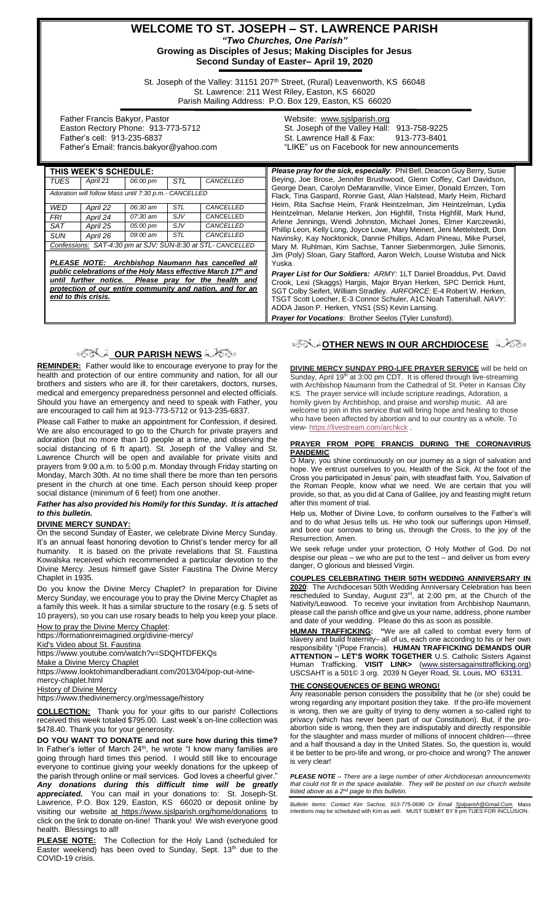## **WELCOME TO ST. JOSEPH – ST. LAWRENCE PARISH** *"Two Churches, One Parish"* **Growing as Disciples of Jesus; Making Disciples for Jesus**

**Second Sunday of Easter– April 19, 2020**

St. Joseph of the Valley: 31151 207<sup>th</sup> Street, (Rural) Leavenworth, KS 66048 St. Lawrence: 211 West Riley, Easton, KS 66020 Parish Mailing Address: P.O. Box 129, Easton, KS 66020

Yuska.

 Father Francis Bakyor, Pastor Easton Rectory Phone: 913-773-5712 Father's cell: 913-235-6837 Father's Email: francis.bakyor@yahoo.com Website: [www.sjslparish.org](http://www.sjslparish.org/) St. Joseph of the Valley Hall: 913-758-9225 St. Lawrence Hall & Fax: "LIKE" us on Facebook for new announcements

Please pray for the sick, especially: Phil Bell, Deacon Guy Berry, Susie Beying, Joe Brose, Jennifer Brushwood, Glenn Coffey, Carl Davidson, George Dean, Carolyn DeMaranville, Vince Eimer, Donald Ernzen, Tom Flack, Tina Gaspard, Ronnie Gast, Alan Halstead, Marly Heim, Richard Heim, Rita Sachse Heim, Frank Heintzelman, Jim Heintzelman, Lydia Heintzelman, Melanie Herken, Jon Highfill, Trista Highfill, Mark Hund, Arlene Jennings, Wendi Johnston, Michael Jones, Elmer Karczewski, Phillip Leon, Kelly Long, Joyce Lowe, Mary Meinert, Jeni Mettelstedt, Don Navinsky, Kay Nocktonick, Dannie Phillips, Adam Pineau, Mike Pursel, Mary M. Ruhlman, Kim Sachse, Tanner Siebenmorgen, Julie Simonis, Jim (Poly) Sloan, Gary Stafford, Aaron Welch, Louise Wistuba and Nick

*Prayer List for Our Soldiers: ARMY:* 1LT Daniel Broaddus, Pvt. David Crook, Lexi (Skaggs) Hargis, Major Bryan Herken, SPC Derrick Hunt, SGT Colby Seifert, William Stradley. *AIRFORCE*: E-4 Robert W. Herken, TSGT Scott Loecher, E-3 Connor Schuler, A1C Noah Tattershall. *NAVY*:

ADDA Jason P. Herken, YNS1 (SS) Kevin Lansing. **Prayer for Vocations: Brother Seelos (Tyler Lunsford).** 

| THIS WEEK'S SCHEDULE:                                                                                                                                                                                                                                             |          |          |            |           |
|-------------------------------------------------------------------------------------------------------------------------------------------------------------------------------------------------------------------------------------------------------------------|----------|----------|------------|-----------|
| TUES                                                                                                                                                                                                                                                              | April 21 | 06:00 pm | STI        | CANCELLED |
| Adoration will follow Mass until 7:30 p.m.- CANCELLED                                                                                                                                                                                                             |          |          |            |           |
| WFD                                                                                                                                                                                                                                                               | April 22 | 06:30 am | STL        | CANCELLED |
| FRI                                                                                                                                                                                                                                                               | April 24 | 07:30 am | <b>SJV</b> | CANCELLED |
| <b>SAT</b>                                                                                                                                                                                                                                                        | April 25 | 05:00 pm | <b>SJV</b> | CANCELLED |
| SUN                                                                                                                                                                                                                                                               | April 26 | 09:00 am | <b>STL</b> | CANCELLED |
| Confessions: SAT-4:30 pm at SJV; SUN-8:30 at STL- CANCELLED                                                                                                                                                                                                       |          |          |            |           |
| PLEASE NOTE: Archbishop Naumann has cancelled all<br>public celebrations of the Holy Mass effective March 17th and<br>until further notice. Please pray for the health<br>and<br>protection of our entire community and nation, and for an<br>end to this crisis. |          |          |            |           |

# ್ಡಿನ್ಸ್ <mark>OUR PARISH NEWS</mark> ಸ್ವಾಮಿಂ

**REMINDER:** Father would like to encourage everyone to pray for the health and protection of our entire community and nation, for all our brothers and sisters who are ill, for their caretakers, doctors, nurses, medical and emergency preparedness personnel and elected officials. Should you have an emergency and need to speak with Father, you are encouraged to call him at 913-773-5712 or 913-235-6837.

Please call Father to make an appointment for Confession, if desired. We are also encouraged to go to the Church for private prayers and adoration (but no more than 10 people at a time, and observing the social distancing of 6 ft apart). St. Joseph of the Valley and St. Lawrence Church will be open and available for private visits and prayers from 9:00 a.m. to 5:00 p.m. Monday through Friday starting on Monday, March 30th. At no time shall there be more than ten persons present in the church at one time. Each person should keep proper social distance (minimum of 6 feet) from one another.

#### *Father has also provided his Homily for this Sunday. It is attached to this bulletin.*

## **DIVINE MERCY SUNDAY:**

On the second Sunday of Easter, we celebrate Divine Mercy Sunday. It's an annual feast honoring devotion to Christ's tender mercy for all humanity. It is based on the private revelations that St. Faustina Kowalska received which recommended a particular devotion to the Divine Mercy. Jesus himself gave Sister Faustina The Divine Mercy Chaplet in 1935.

Do you know the Divine Mercy Chaplet? In preparation for Divine Mercy Sunday, we encourage you to pray the Divine Mercy Chaplet as a family this week. It has a similar structure to the rosary (e.g. 5 sets of 10 prayers), so you can use rosary beads to help you keep your place.

[How to pray the Divine Mercy Chaplet:](http://r20.rs6.net/tn.jsp?f=001AsZH38ssIVpgvgzE9NIQBJ5lX31Ec0z6_JRvgCEcO-roVnyGYX5_aMd5KabwJvg0CP6ScTiK8gA-xk_RHOCtFnytQ2qJZKM2nE0-faLOI8BDICZjrvNDjn_x8P1TeYrZZrSs-zZnqWq8GESXanfBk13RX-yot3JdTuXUslFDCfZ5h-BEwiNATg==&c=ALX87fY8sSF9oB-rpsopv7LLWf41L0xzcXC3PPiEgfgFubr2-iQFvg==&ch=Bl5ROnfm_R_7q-OWTdw-flxYs0DsvjjTXlqNa6tIWUF8lwQeIw7bKg==) https://formationreimagined.org/divine-mercy/

[Kid's Video about St. Faustina](http://r20.rs6.net/tn.jsp?f=001AsZH38ssIVpgvgzE9NIQBJ5lX31Ec0z6_JRvgCEcO-roVnyGYX5_aMd5KabwJvg0qRXJd_lcuPVWnoc4ZCMe7LqKHzDqWOmZYh9X5_pgubBDr8UkjH96z7578p3mUbAGm5MfE_YedL1YUVx6osViwjrFVZWV5ioUVBxjrq08aRU=&c=ALX87fY8sSF9oB-rpsopv7LLWf41L0xzcXC3PPiEgfgFubr2-iQFvg==&ch=Bl5ROnfm_R_7q-OWTdw-flxYs0DsvjjTXlqNa6tIWUF8lwQeIw7bKg==)

https://www.youtube.com/watch?v=SDQHTDFEKQs

[Make a Divine Mercy Chaplet](http://r20.rs6.net/tn.jsp?f=001AsZH38ssIVpgvgzE9NIQBJ5lX31Ec0z6_JRvgCEcO-roVnyGYX5_aMd5KabwJvg0-eOrWKHYLv0B_WOKeNB1jEV2ONnvX5U6x2u-CU5Dq8Og04rd6mwTMfMK5qcQ6qIgWtOo4sK2sFDRt8aMGo6LHdkI3xFk3k_7sCYBSKTxgWoE113r1O5CMsLY4A_NjOnxTgKwPpbyKPI0zO5-CpFHaC8KbTGVyjsb&c=ALX87fY8sSF9oB-rpsopv7LLWf41L0xzcXC3PPiEgfgFubr2-iQFvg==&ch=Bl5ROnfm_R_7q-OWTdw-flxYs0DsvjjTXlqNa6tIWUF8lwQeIw7bKg==)

https://www.looktohimandberadiant.com/2013/04/pop-out-ivine-

mercy-chaplet.html

**[History of Divine Mercy](http://r20.rs6.net/tn.jsp?f=001AsZH38ssIVpgvgzE9NIQBJ5lX31Ec0z6_JRvgCEcO-roVnyGYX5_aMd5KabwJvg0-D-TXBA-nFLGtT2CbXStvFI-wqvxAr8EdzdDL3WkbxQTx2XXjWCTDIX6bG1B5iiZ1GaUW2L6yDOznskYnKVs469Qbo3HlBpunXYezaBH34y0dWD83Gfo4A==&c=ALX87fY8sSF9oB-rpsopv7LLWf41L0xzcXC3PPiEgfgFubr2-iQFvg==&ch=Bl5ROnfm_R_7q-OWTdw-flxYs0DsvjjTXlqNa6tIWUF8lwQeIw7bKg==)** 

https://www.thedivinemercy.org/message/history

**COLLECTION:** Thank you for your gifts to our parish! Collections received this week totaled \$795.00. Last week's on-line collection was \$478.40. Thank you for your generosity.

**DO YOU WANT TO DONATE and not sure how during this time?** In Father's letter of March 24<sup>th</sup>, he wrote "I know many families are going through hard times this period. I would still like to encourage everyone to continue giving your weekly donations for the upkeep of the parish through online or mail services. God loves a cheerful giver. *Any donations during this difficult time will be greatly appreciated.* You can mail in your donations to: St. Joseph-St. Lawrence, P.O. Box 129, Easton, KS 66020 or deposit online by visiting our website at https://www.sjslparish.org/home/donations to click on the link to donate on-line! Thank you! We wish everyone good health.Blessings to all!

**PLEASE NOTE:** The Collection for the Holy Land (scheduled for Easter weekend) has been oved to Sunday, Sept. 13<sup>th</sup> due to the COVID-19 crisis.

# **OTHER NEWS IN OUR ARCHDIOCESE**

**DIVINE MERCY SUNDAY PRO-LIFE PRAYER SERVICE** will be held on Sunday, April 19<sup>th</sup> at 3:00 pm CDT. It is offered through live-streaming with Archbishop Naumann from the Cathedral of St. Peter in Kansas City KS. The prayer service will include scripture readings, Adoration, a homily given by Archbishop, and praise and worship music. All are welcome to join in this service that will bring hope and healing to those who have been affected by abortion and to our country as a whole. To view- <https://livestream.com/archkck> .

### **PRAYER FROM POPE FRANCIS DURING THE CORONAVIRUS PANDEMIC**

O Mary, you shine continuously on our journey as a sign of salvation and hope. We entrust ourselves to you, Health of the Sick. At the foot of the Cross you participated in Jesus' pain, with steadfast faith. You, Salvation of the Roman People, know what we need. We are certain that you will provide, so that, as you did at Cana of Galilee, joy and feasting might return after this moment of trial.

Help us, Mother of Divine Love, to conform ourselves to the Father's will and to do what Jesus tells us. He who took our sufferings upon Himself, and bore our sorrows to bring us, through the Cross, to the joy of the Resurrection. Amen.

We seek refuge under your protection, O Holy Mother of God. Do not despise our pleas – we who are put to the test – and deliver us from every danger, O glorious and blessed Virgin.

#### **COUPLES CELEBRATING THEIR 50TH WEDDING ANNIVERSARY IN**

**2020**: The Archdiocesan 50th Wedding Anniversary Celebration has been rescheduled to Sunday, August  $23<sup>rd</sup>$ , at 2:00 pm, at the Church of the Nativity/Leawood. To receive your invitation from Archbishop Naumann, please call the parish office and give us your name, address, phone number and date of your wedding. Please do this as soon as possible.

**HUMAN TRAFFICKING: "**We are all called to combat every form of slavery and build fraternity– all of us, each one according to his or her own responsibility "(Pope Francis). **HUMAN TRAFFICKING DEMANDS OUR ATTENTION – LET'S WORK TOGETHER** U.S. Catholic Sisters Against Human Trafficking. **VISIT LINK>** [\(www.sistersagainsttrafficking.org\)](http://www.sistersagainsttrafficking.org/)  USCSAHT is a 501© 3 org. 2039 N Geyer Road, St. Louis, MO 63131.

## **THE CONSEQUENCES OF BEING WRONG!**

**Any reasonable person considers the possibility that he (or she) could be** wrong regarding any important position they take. If the pro-life movement is wrong, then we are guilty of trying to deny women a so-called right to privacy (which has never been part of our Constitution). But, if the proabortion side is wrong, then they are indisputably and directly responsible for the slaughter and mass murder of millions of innocent children----three and a half thousand a day in the United States. So, the question is, would it be better to be pro-life and wrong, or pro-choice and wrong? The answer is very clear!

*PLEASE NOTE – There are a large number of other Archdiocesan announcements that could not fit in the space available. They will be posted on our church website listed above as a 2nd page to this bulletin.*

*Bulletin Items: Contact Kim Sachse, 913-775-0690 Or Email <u>Sislparish@Gmail.Com</u>. Mass<br>intentions may be scheduled with Kim as well. MUST SUBMIT BY 9 pm TUES FOR INCLUSION.*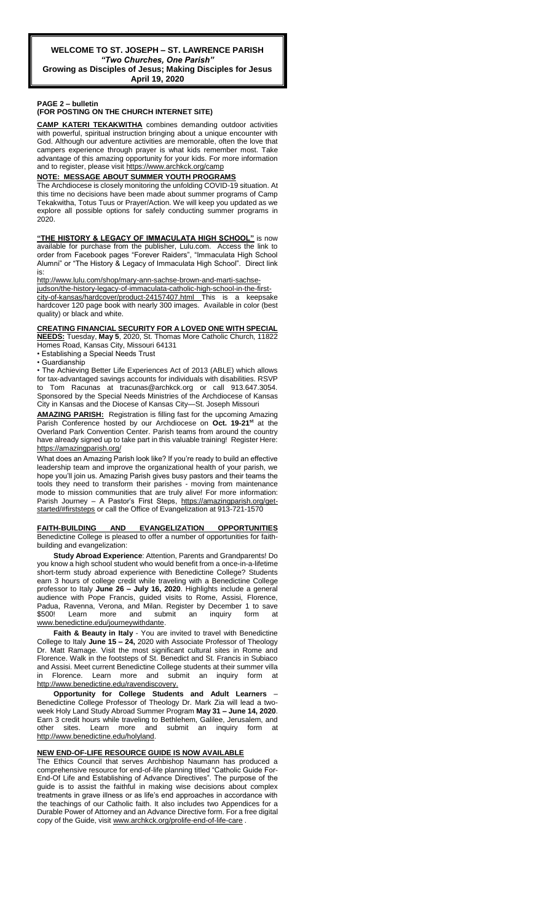**Growing as Disciples of Jesus; Making Disciples for Jesus April 19, 2020**

### **PAGE 2 – bulletin**

## **(FOR POSTING ON THE CHURCH INTERNET SITE)**

**CAMP KATERI TEKAKWITHA** combines demanding outdoor activities with powerful, spiritual instruction bringing about a unique encounter with God. Although our adventure activities are memorable, often the love that campers experience through prayer is what kids remember most. Take advantage of this amazing opportunity for your kids. For more information and to register, please visit<https://www.archkck.org/camp>

#### **NOTE: MESSAGE ABOUT SUMMER YOUTH PROGRAMS**

The Archdiocese is closely monitoring the unfolding COVID-19 situation. At this time no decisions have been made about summer programs of Camp Tekakwitha, Totus Tuus or Prayer/Action. We will keep you updated as we explore all possible options for safely conducting summer programs in 2020.

**"THE HISTORY & LEGACY OF IMMACULATA HIGH SCHOOL"** is now available for purchase from the publisher, Lulu.com. Access the link to order from Facebook pages "Forever Raiders", "Immaculata High School Alumni" or "The History & Legacy of Immaculata High School". Direct link is:

[http://www.lulu.com/shop/mary-ann-sachse-brown-and-marti-sachse-](http://www.lulu.com/shop/mary-ann-sachse-brown-and-marti-sachse-judson/the-history-legacy-of-immaculata-catholic-high-school-in-the-first-city-of-kansas/hardcover/product-24157407.html)

[judson/the-history-legacy-of-immaculata-catholic-high-school-in-the-first](http://www.lulu.com/shop/mary-ann-sachse-brown-and-marti-sachse-judson/the-history-legacy-of-immaculata-catholic-high-school-in-the-first-city-of-kansas/hardcover/product-24157407.html)[city-of-kansas/hardcover/product-24157407.html](http://www.lulu.com/shop/mary-ann-sachse-brown-and-marti-sachse-judson/the-history-legacy-of-immaculata-catholic-high-school-in-the-first-city-of-kansas/hardcover/product-24157407.html) This hardcover 120 page book with nearly 300 images. Available in color (best quality) or black and white.

## **CREATING FINANCIAL SECURITY FOR A LOVED ONE WITH SPECIAL**

**NEEDS:** Tuesday, **May 5**, 2020, St. Thomas More Catholic Church, 11822

Homes Road, Kansas City, Missouri 64131 • Establishing a Special Needs Trust

• Guardianship

• The Achieving Better Life Experiences Act of 2013 (ABLE) which allows for tax-advantaged savings accounts for individuals with disabilities. RSVP to Tom Racunas at tracunas@archkck.org or call 913.647.3054. Sponsored by the Special Needs Ministries of the Archdiocese of Kansas City in Kansas and the Diocese of Kansas City—St. Joseph Missouri

**AMAZING PARISH:** Registration is filling fast for the upcoming Amazing Parish Conference hosted by our Archdiocese on **Oct. 19-21st** at the Overland Park Convention Center. Parish teams from around the country have already signed up to take part in this valuable training! Register Here: <https://amazingparish.org/>

What does an Amazing Parish look like? If you're ready to build an effective leadership team and improve the organizational health of your parish, we hope you'll join us. Amazing Parish gives busy pastors and their teams the tools they need to transform their parishes - moving from maintenance mode to mission communities that are truly alive! For more information: Parish Journey – A Pastor's First Steps, [https://amazingparish.org/get](https://amazingparish.org/get-started/#firststeps)[started/#firststeps](https://amazingparish.org/get-started/#firststeps) or call the Office of Evangelization at 913-721-1570

#### **FAITH-BUILDING AND EVANGELIZATION OPPORTUNITIES** Benedictine College is pleased to offer a number of opportunities for faithbuilding and evangelization:

**Study Abroad Experience**: Attention, Parents and Grandparents! Do you know a high school student who would benefit from a once-in-a-lifetime short-term study abroad experience with Benedictine College? Students earn 3 hours of college credit while traveling with a Benedictine College professor to Italy **June 26 – July 16, 2020**. Highlights include a general audience with Pope Francis, guided visits to Rome, Assisi, Florence, Padua, Ravenna, Verona, and Milan. Register by December 1 to save \$500! Learn more and submit an inquiry form at [www.benedictine.edu/journeywithdante.](http://www.benedictine.edu/journeywithdante)

**Faith & Beauty in Italy** - You are invited to travel with Benedictine College to Italy **June 15 – 24,** 2020 with Associate Professor of Theology Dr. Matt Ramage. Visit the most significant cultural sites in Rome and Florence. Walk in the footsteps of St. Benedict and St. Francis in Subiaco and Assisi. Meet current Benedictine College students at their summer villa Florence. Learn more and submit an inquiry form [http://www.benedictine.edu/ravendiscovery.](http://www.benedictine.edu/ravendiscovery)

**Opportunity for College Students and Adult Learners** – Benedictine College Professor of Theology Dr. Mark Zia will lead a twoweek Holy Land Study Abroad Summer Program **May 31 – June 14, 2020**. Earn 3 credit hours while traveling to Bethlehem, Galilee, Jerusalem, and other sites. Learn more and submit an inquiry form at [http://www.benedictine.edu/holyland.](http://www.benedictine.edu/holyland)

### **NEW END-OF-LIFE RESOURCE GUIDE IS NOW AVAILABLE**

The Ethics Council that serves Archbishop Naumann has produced a comprehensive resource for end-of-life planning titled "Catholic Guide For-End-Of Life and Establishing of Advance Directives". The purpose of the guide is to assist the faithful in making wise decisions about complex treatments in grave illness or as life's end approaches in accordance with the teachings of our Catholic faith. It also includes two Appendices for a Durable Power of Attorney and an Advance Directive form. For a free digital copy of the Guide, visi[t www.archkck.org/prolife-end-of-life-care](http://www.archkck.org/prolife-end-of-life-care) .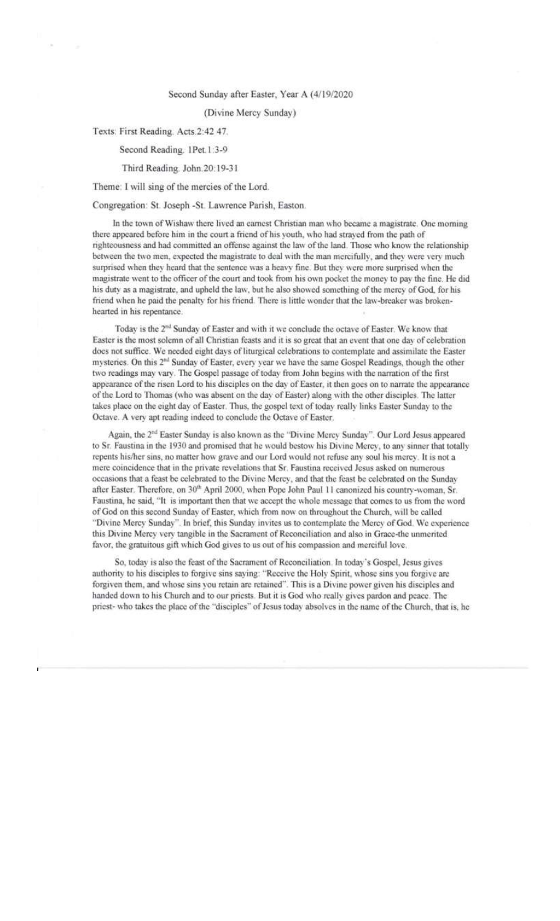## Second Sunday after Easter, Year A (4/19/2020

## (Divine Mercy Sunday)

Texts: First Reading. Acts.2:42 47.

Second Reading. 1Pet.1:3-9

## Third Reading. John.20:19-31

## Theme: I will sing of the mercies of the Lord.

## Congregation: St. Joseph -St. Lawrence Parish, Easton.

In the town of Wishaw there lived an earnest Christian man who became a magistrate. One morning there appeared before him in the court a friend of his youth, who had strayed from the path of righteousness and had committed an offense against the law of the land. Those who know the relationship between the two men, expected the magistrate to deal with the man mercifully, and they were very much surprised when they heard that the sentence was a heavy fine. But they were more surprised when the magistrate went to the officer of the court and took from his own pocket the money to pay the fine. He did his duty as a magistrate, and upheld the law, but he also showed something of the mercy of God, for his friend when he paid the penalty for his friend. There is little wonder that the law-breaker was brokenhearted in his repentance.

Today is the 2<sup>nd</sup> Sunday of Easter and with it we conclude the octave of Easter. We know that Easter is the most solemn of all Christian feasts and it is so great that an event that one day of celebration does not suffice. We needed eight days of liturgical celebrations to contemplate and assimilate the Easter mysteries. On this 2<sup>nd</sup> Sunday of Easter, every year we have the same Gospel Readings, though the other two readings may vary. The Gospel passage of today from John begins with the narration of the first appearance of the risen Lord to his disciples on the day of Easter, it then goes on to narrate the appearance of the Lord to Thomas (who was absent on the day of Easter) along with the other disciples. The latter takes place on the eight day of Easter. Thus, the gospel text of today really links Easter Sunday to the Octave. A very apt reading indeed to conclude the Octave of Easter.

Again, the 2<sup>nd</sup> Easter Sunday is also known as the "Divine Mercy Sunday". Our Lord Jesus appeared to Sr. Faustina in the 1930 and promised that he would bestow his Divine Mercy, to any sinner that totally repents his/her sins, no matter how grave and our Lord would not refuse any soul his mercy. It is not a mere coincidence that in the private revelations that Sr. Faustina received Jesus asked on numerous occasions that a feast be celebrated to the Divine Mercy, and that the feast be celebrated on the Sunday after Easter. Therefore, on 30th April 2000, when Pope John Paul 11 canonized his country-woman, Sr. Faustina, he said, "It is important then that we accept the whole message that comes to us from the word of God on this second Sunday of Easter, which from now on throughout the Church, will be called "Divine Mercy Sunday". In brief, this Sunday invites us to contemplate the Mercy of God. We experience this Divine Mercy very tangible in the Sacrament of Reconciliation and also in Grace-the unmerited favor, the gratuitous gift which God gives to us out of his compassion and merciful love.

So, today is also the feast of the Sacrament of Reconciliation. In today's Gospel, Jesus gives authority to his disciples to forgive sins saying: "Receive the Holy Spirit, whose sins you forgive are forgiven them, and whose sins you retain are retained". This is a Divine power given his disciples and handed down to his Church and to our priests. But it is God who really gives pardon and peace. The priest- who takes the place of the "disciples" of Jesus today absolves in the name of the Church, that is, he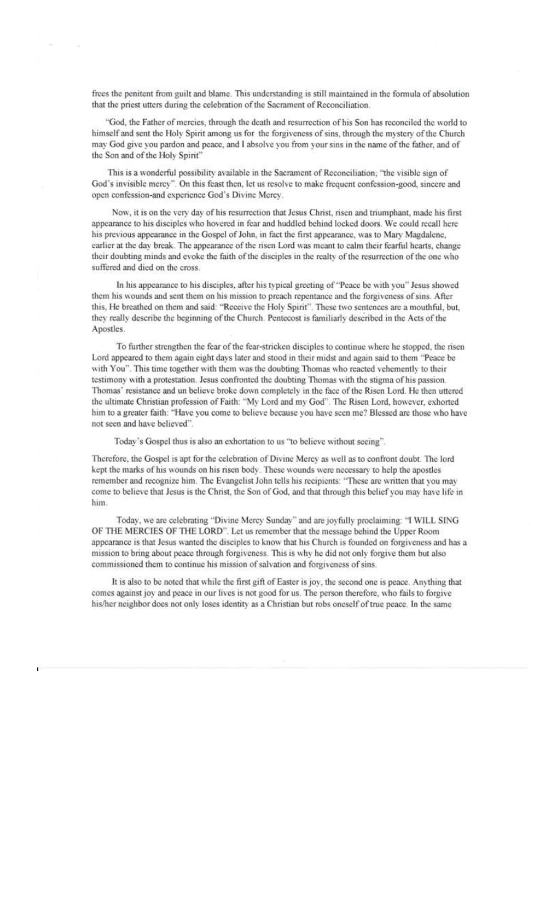frees the penitent from guilt and blame. This understanding is still maintained in the formula of absolution that the priest utters during the celebration of the Sacrament of Reconciliation.

"God, the Father of mercies, through the death and resurrection of his Son has reconciled the world to himself and sent the Holy Spirit among us for the forgiveness of sins, through the mystery of the Church may God give you pardon and peace, and I absolve you from your sins in the name of the father, and of the Son and of the Holy Spirit"

This is a wonderful possibility available in the Sacrament of Reconciliation; "the visible sign of God's invisible mercy". On this feast then, let us resolve to make frequent confession-good, sincere and open confession-and experience God's Divine Mercy.

Now, it is on the very day of his resurrection that Jesus Christ, risen and triumphant, made his first appearance to his disciples who hovered in fear and huddled behind locked doors. We could recall here his previous appearance in the Gospel of John, in fact the first appearance, was to Mary Magdalene, earlier at the day break. The appearance of the risen Lord was meant to calm their fearful hearts, change their doubting minds and evoke the faith of the disciples in the realty of the resurrection of the one who suffered and died on the cross.

In his appearance to his disciples, after his typical greeting of "Peace be with you" Jesus showed them his wounds and sent them on his mission to preach repentance and the forgiveness of sins. After this, He breathed on them and said: "Receive the Holy Spirit". These two sentences are a mouthful, but, they really describe the beginning of the Church. Pentecost is familiarly described in the Acts of the Apostles.

To further strengthen the fear of the fear-stricken disciples to continue where he stopped, the risen Lord appeared to them again eight days later and stood in their midst and again said to them "Peace be with You". This time together with them was the doubting Thomas who reacted vehemently to their testimony with a protestation. Jesus confronted the doubting Thomas with the stigma of his passion. Thomas' resistance and un believe broke down completely in the face of the Risen Lord. He then uttered the ultimate Christian profession of Faith: "My Lord and my God". The Risen Lord, however, exhorted him to a greater faith: "Have you come to believe because you have seen me? Blessed are those who have not seen and have believed"

Today's Gospel thus is also an exhortation to us "to believe without seeing".

Therefore, the Gospel is apt for the celebration of Divine Mercy as well as to confront doubt. The lord kept the marks of his wounds on his risen body. These wounds were necessary to help the apostles remember and recognize him. The Evangelist John tells his recipients: "These are written that you may come to believe that Jesus is the Christ, the Son of God, and that through this belief you may have life in him

Today, we are celebrating "Divine Mercy Sunday" and are joyfully proclaiming: "I WILL SING OF THE MERCIES OF THE LORD". Let us remember that the message behind the Upper Room appearance is that Jesus wanted the disciples to know that his Church is founded on forgiveness and has a mission to bring about peace through forgiveness. This is why he did not only forgive them but also commissioned them to continue his mission of salvation and forgiveness of sins.

It is also to be noted that while the first gift of Easter is joy, the second one is peace. Anything that comes against joy and peace in our lives is not good for us. The person therefore, who fails to forgive his/her neighbor does not only loses identity as a Christian but robs oneself of true peace. In the same